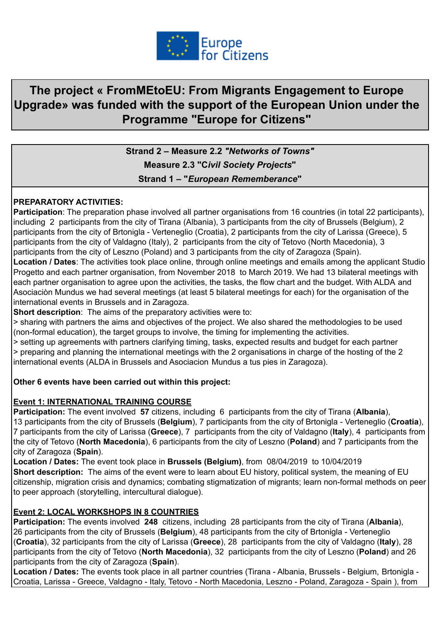

# **The project « FromMEtoEU: From Migrants Engagement to Europe Upgrade» was funded with the support of the European Union under the Programme "Europe for Citizens"**

**Strand 2 – Measure 2.2** *"Networks of Towns"* **Measure 2.3 "C***ivil Society Projects***" Strand 1 – "***European Rememberance***"**

#### **PREPARATORY ACTIVITIES:**

**Participation**: The preparation phase involved all partner organisations from 16 countries (in total 22 participants), including 2 participants from the city of Tirana (Albania), 3 participants from the city of Brussels (Belgium), 2 participants from the city of Brtonigla - Verteneglio (Croatia), 2 participants from the city of Larissa (Greece), 5 participants from the city of Valdagno (Italy), 2 participants from the city of Tetovo (North Macedonia), 3 participants from the city of Leszno (Poland) and 3 participants from the city of Zaragoza (Spain).

**Location / Dates**: The activities took place online, through online meetings and emails among the applicant Studio Progetto and each partner organisation, from November 2018 to March 2019. We had 13 bilateral meetings with each partner organisation to agree upon the activities, the tasks, the flow chart and the budget. With ALDA and Asociaciòn Mundus we had several meetings (at least 5 bilateral meetings for each) for the organisation of the international events in Brussels and in Zaragoza.

**Short description**: The aims of the preparatory activities were to:

> sharing with partners the aims and objectives of the project. We also shared the methodologies to be used (non-formal education), the target groups to involve, the timing for implementing the activities.

> setting up agreements with partners clarifying timing, tasks, expected results and budget for each partner > preparing and planning the international meetings with the 2 organisations in charge of the hosting of the 2 international events (ALDA in Brussels and Asociacion Mundus a tus pies in Zaragoza).

#### **Other 6 events have been carried out within this project:**

#### **Event 1: INTERNATIONAL TRAINING COURSE**

**Participation:** The event involved **57** citizens, including 6 participants from the city of Tirana (**Albania**), 13 participants from the city of Brussels (**Belgium**), 7 participants from the city of Brtonigla - Verteneglio (**Croatia**), 7 participants from the city of Larissa (**Greece**), 7 participants from the city of Valdagno (**Italy**), 4 participants from the city of Tetovo (**North Macedonia**), 6 participants from the city of Leszno (**Poland**) and 7 participants from the city of Zaragoza (**Spain**).

**Location / Dates:** The event took place in **Brussels (Belgium)**, from 08/04/2019 to 10/04/2019 **Short description:** The aims of the event were to learn about EU history, political system, the meaning of EU citizenship, migration crisis and dynamics; combating stigmatization of migrants; learn non-formal methods on peer to peer approach (storytelling, intercultural dialogue).

## **Event 2: LOCAL WORKSHOPS IN 8 COUNTRIES**

**Participation:** The events involved **248** citizens, including 28 participants from the city of Tirana (**Albania**), 26 participants from the city of Brussels (**Belgium**), 48 participants from the city of Brtonigla - Verteneglio (**Croatia**), 32 participants from the city of Larissa (**Greece**), 28 participants from the city of Valdagno (**Italy**), 28 participants from the city of Tetovo (**North Macedonia**), 32 participants from the city of Leszno (**Poland**) and 26 participants from the city of Zaragoza (**Spain**).

**Location / Dates:** The events took place in all partner countries (Tirana - Albania, Brussels - Belgium, Brtonigla - Croatia, Larissa - Greece, Valdagno - Italy, Tetovo - North Macedonia, Leszno - Poland, Zaragoza - Spain ), from